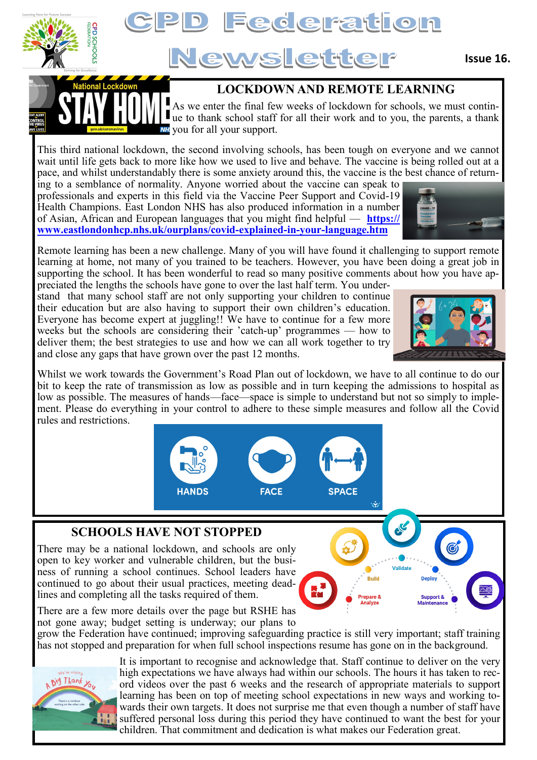

# Federation

## Newsletter

#### **LOCKDOWN AND REMOTE LEARNING**

As we enter the final few weeks of lockdown for schools, we must continwe then the thank school staff for all their work and to you, the parents, a thank **NH** you for all your support.

This third national lockdown, the second involving schools, has been tough on everyone and we cannot wait until life gets back to more like how we used to live and behave. The vaccine is being rolled out at a pace, and whilst understandably there is some anxiety around this, the vaccine is the best chance of return-

ing to a semblance of normality. Anyone worried about the vaccine can speak to professionals and experts in this field via the Vaccine Peer Support and Covid-19 Health Champions. East London NHS has also produced information in a number of Asian, African and European languages that you might find helpful — **[https://](https://www.eastlondonhcp.nhs.uk/ourplans/covid-explained-in-your-language.htm) [www.eastlondonhcp.nhs.uk/ourplans/covid](https://www.eastlondonhcp.nhs.uk/ourplans/covid-explained-in-your-language.htm)-explained-in-your-language.htm**

Remote learning has been a new challenge. Many of you will have found it challenging to support remote learning at home, not many of you trained to be teachers. However, you have been doing a great job in supporting the school. It has been wonderful to read so many positive comments about how you have ap-

preciated the lengths the schools have gone to over the last half term. You understand that many school staff are not only supporting your children to continue their education but are also having to support their own children's education. Everyone has become expert at juggling!! We have to continue for a few more weeks but the schools are considering their 'catch-up' programmes — how to deliver them; the best strategies to use and how we can all work together to try and close any gaps that have grown over the past 12 months.

Whilst we work towards the Government's Road Plan out of lockdown, we have to all continue to do our bit to keep the rate of transmission as low as possible and in turn keeping the admissions to hospital as low as possible. The measures of hands—face—space is simple to understand but not so simply to implement. Please do everything in your control to adhere to these simple measures and follow all the Covid rules and restrictions.



#### **SCHOOLS HAVE NOT STOPPED**

There may be a national lockdown, and schools are only open to key worker and vulnerable children, but the business of running a school continues. School leaders have continued to go about their usual practices, meeting deadlines and completing all the tasks required of them.



There are a few more details over the page but RSHE has not gone away; budget setting is underway; our plans to

grow the Federation have continued; improving safeguarding practice is still very important; staff training has not stopped and preparation for when full school inspections resume has gone on in the background.



It is important to recognise and acknowledge that. Staff continue to deliver on the very high expectations we have always had within our schools. The hours it has taken to record videos over the past 6 weeks and the research of appropriate materials to support learning has been on top of meeting school expectations in new ways and working towards their own targets. It does not surprise me that even though a number of staff have suffered personal loss during this period they have continued to want the best for your children. That commitment and dedication is what makes our Federation great.